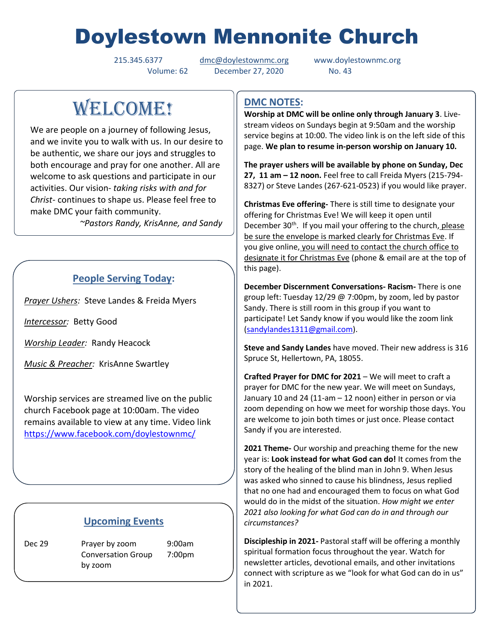# Doylestown Mennonite Church

Volume: 62 December 27, 2020 No. 43

215.345.6377 [dmc@doylestownmc.org](mailto:dmc@doylestownmc.org) www.doylestownmc.org

## WELCOME!

We are people on a journey of following Jesus, and we invite you to walk with us. In our desire to be authentic, we share our joys and struggles to both encourage and pray for one another. All are welcome to ask questions and participate in our activities. Our vision- *taking risks with and for Christ*- continues to shape us. Please feel free to make DMC your faith community.

 *~Pastors Randy, KrisAnne, and Sandy*

## **People Serving Today:**

*Prayer Ushers:* Steve Landes & Freida Myers

*Intercessor:* Betty Good

*Worship Leader:* Randy Heacock

*Music & Preacher:* KrisAnne Swartley

Worship services are streamed live on the public church Facebook page at 10:00am. The video remains available to view at any time. Video link <https://www.facebook.com/doylestownmc/>

### **Upcoming Events**

Dec 29 Prayer by zoom 9:00am Conversation Group 7:00pm by zoom

## **DMC NOTES:**

**Worship at DMC will be online only through January 3**. Livestream videos on Sundays begin at 9:50am and the worship service begins at 10:00. The video link is on the left side of this page. **We plan to resume in-person worship on January 10.**

**The prayer ushers will be available by phone on Sunday, Dec 27, 11 am – 12 noon.** Feel free to call Freida Myers (215-794- 8327) or Steve Landes (267-621-0523) if you would like prayer.

**Christmas Eve offering-** There is still time to designate your offering for Christmas Eve! We will keep it open until December 30<sup>th</sup>. If you mail your offering to the church, please be sure the envelope is marked clearly for Christmas Eve. If you give online, you will need to contact the church office to designate it for Christmas Eve (phone & email are at the top of this page).

**December Discernment Conversations- Racism-** There is one group left: Tuesday 12/29 @ 7:00pm, by zoom, led by pastor Sandy. There is still room in this group if you want to participate! Let Sandy know if you would like the zoom link [\(sandylandes1311@gmail.com\)](mailto:sandylandes1311@gmail.com).

**Steve and Sandy Landes** have moved. Their new address is 316 Spruce St, Hellertown, PA, 18055.

**Crafted Prayer for DMC for 2021** – We will meet to craft a prayer for DMC for the new year. We will meet on Sundays, January 10 and 24 (11-am – 12 noon) either in person or via zoom depending on how we meet for worship those days. You are welcome to join both times or just once. Please contact Sandy if you are interested.

**2021 Theme-** Our worship and preaching theme for the new year is: **Look instead for what God can do!** It comes from the story of the healing of the blind man in John 9. When Jesus was asked who sinned to cause his blindness, Jesus replied that no one had and encouraged them to focus on what God would do in the midst of the situation. *How might we enter 2021 also looking for what God can do in and through our circumstances?*

**Discipleship in 2021-** Pastoral staff will be offering a monthly spiritual formation focus throughout the year. Watch for newsletter articles, devotional emails, and other invitations connect with scripture as we "look for what God can do in us" in 2021.